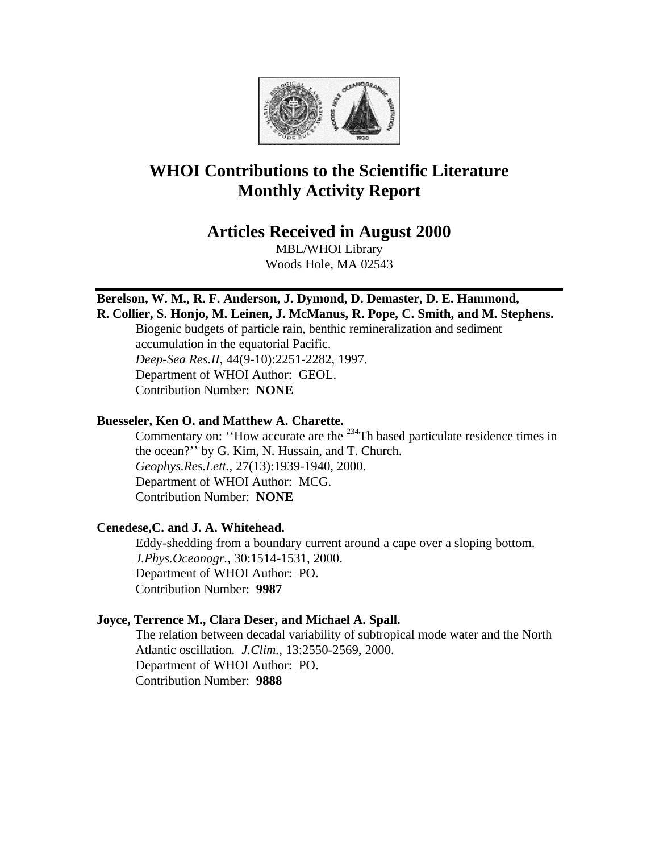

# **WHOI Contributions to the Scientific Literature Monthly Activity Report**

# **Articles Received in August 2000**

MBL/WHOI Library Woods Hole, MA 02543

# **Berelson, W. M., R. F. Anderson, J. Dymond, D. Demaster, D. E. Hammond,**

**R. Collier, S. Honjo, M. Leinen, J. McManus, R. Pope, C. Smith, and M. Stephens.**  Biogenic budgets of particle rain, benthic remineralization and sediment accumulation in the equatorial Pacific. *Deep-Sea Res.II*, 44(9-10):2251-2282, 1997. Department of WHOI Author: GEOL. Contribution Number: **NONE**

#### **Buesseler, Ken O. and Matthew A. Charette.**

Commentary on: "How accurate are the <sup>234</sup>Th based particulate residence times in the ocean?'' by G. Kim, N. Hussain, and T. Church. *Geophys.Res.Lett.*, 27(13):1939-1940, 2000. Department of WHOI Author: MCG. Contribution Number: **NONE**

## **Cenedese,C. and J. A. Whitehead.**

Eddy-shedding from a boundary current around a cape over a sloping bottom. *J.Phys.Oceanogr.*, 30:1514-1531, 2000. Department of WHOI Author: PO. Contribution Number: **9987**

#### **Joyce, Terrence M., Clara Deser, and Michael A. Spall.**

The relation between decadal variability of subtropical mode water and the North Atlantic oscillation. *J.Clim.*, 13:2550-2569, 2000. Department of WHOI Author: PO. Contribution Number: **9888**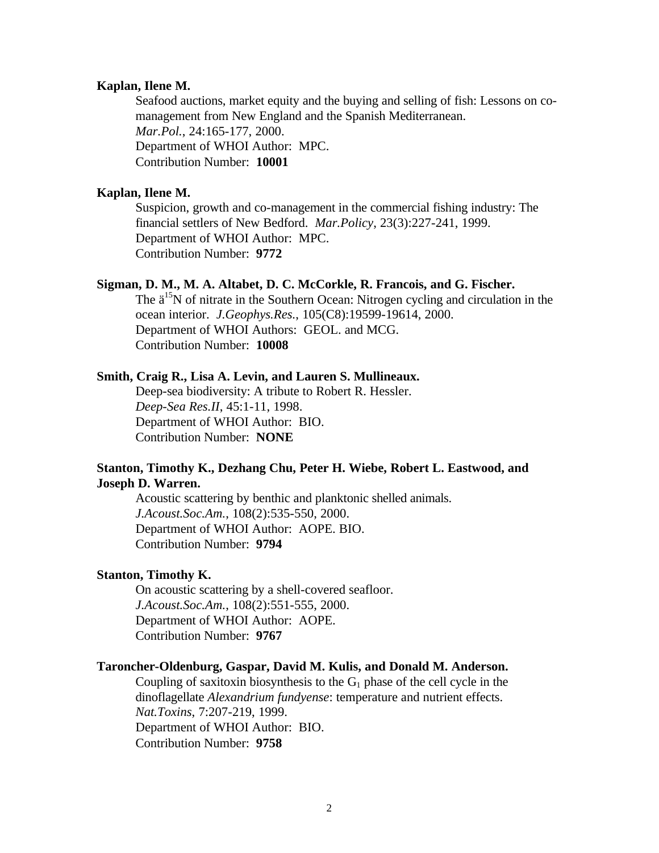#### **Kaplan, Ilene M.**

Seafood auctions, market equity and the buying and selling of fish: Lessons on comanagement from New England and the Spanish Mediterranean. *Mar.Pol.*, 24:165-177, 2000. Department of WHOI Author: MPC. Contribution Number: **10001**

#### **Kaplan, Ilene M.**

Suspicion, growth and co-management in the commercial fishing industry: The financial settlers of New Bedford. *Mar.Policy*, 23(3):227-241, 1999. Department of WHOI Author: MPC. Contribution Number: **9772**

## **Sigman, D. M., M. A. Altabet, D. C. McCorkle, R. Francois, and G. Fischer.**

The  $\ddot{a}^{15}$ N of nitrate in the Southern Ocean: Nitrogen cycling and circulation in the ocean interior. *J.Geophys.Res.*, 105(C8):19599-19614, 2000. Department of WHOI Authors: GEOL. and MCG. Contribution Number: **10008**

#### **Smith, Craig R., Lisa A. Levin, and Lauren S. Mullineaux.**

Deep-sea biodiversity: A tribute to Robert R. Hessler. *Deep-Sea Res.II*, 45:1-11, 1998. Department of WHOI Author: BIO. Contribution Number: **NONE**

#### **Stanton, Timothy K., Dezhang Chu, Peter H. Wiebe, Robert L. Eastwood, and Joseph D. Warren.**

Acoustic scattering by benthic and planktonic shelled animals. *J.Acoust.Soc.Am.*, 108(2):535-550, 2000. Department of WHOI Author: AOPE. BIO. Contribution Number: **9794**

#### **Stanton, Timothy K.**

On acoustic scattering by a shell-covered seafloor. *J.Acoust.Soc.Am.*, 108(2):551-555, 2000. Department of WHOI Author: AOPE. Contribution Number: **9767**

#### **Taroncher-Oldenburg, Gaspar, David M. Kulis, and Donald M. Anderson.**

Coupling of saxitoxin biosynthesis to the  $G_1$  phase of the cell cycle in the dinoflagellate *Alexandrium fundyense*: temperature and nutrient effects. *Nat.Toxins*, 7:207-219, 1999. Department of WHOI Author: BIO. Contribution Number: **9758**